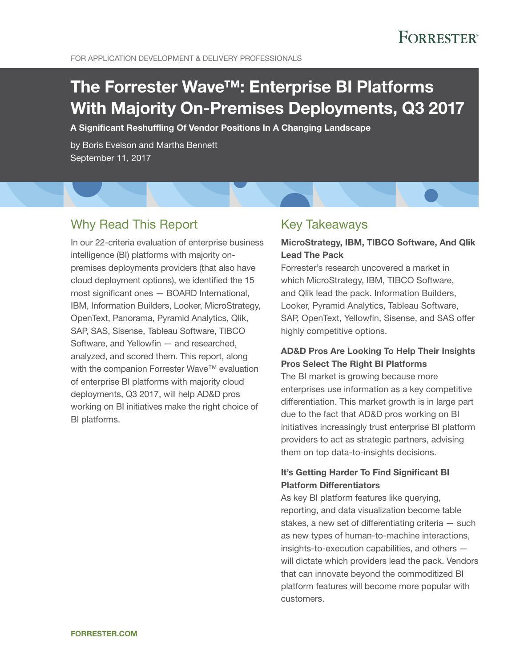# The Forrester Wave™: Enterprise BI Platforms With Majority On-Premises Deployments, Q3 2017

A Significant Reshuffling Of Vendor Positions In A Changing Landscape

by Boris Evelson and Martha Bennett September 11, 2017

## Why Read This Report

In our 22-criteria evaluation of enterprise business intelligence (BI) platforms with majority onpremises deployments providers (that also have cloud deployment options), we identified the 15 most significant ones — BOARD International, IBM, Information Builders, Looker, MicroStrategy, OpenText, Panorama, Pyramid Analytics, Qlik, SAP, SAS, Sisense, Tableau Software, TIBCO Software, and Yellowfin — and researched, analyzed, and scored them. This report, along with the companion Forrester Wave™ evaluation of enterprise BI platforms with majority cloud deployments, Q3 2017, will help AD&D pros working on BI initiatives make the right choice of BI platforms.

### Key Takeaways

### MicroStrategy, IBM, TIBCO Software, And Qlik Lead The Pack

Forrester's research uncovered a market in which MicroStrategy, IBM, TIBCO Software, and Qlik lead the pack. Information Builders, Looker, Pyramid Analytics, Tableau Software, SAP, OpenText, Yellowfin, Sisense, and SAS offer highly competitive options.

### AD&D Pros Are Looking To Help Their Insights Pros Select The Right BI Platforms

The BI market is growing because more enterprises use information as a key competitive differentiation. This market growth is in large part due to the fact that AD&D pros working on BI initiatives increasingly trust enterprise BI platform providers to act as strategic partners, advising them on top data-to-insights decisions.

### It's Getting Harder To Find Significant BI Platform Differentiators

As key BI platform features like querying, reporting, and data visualization become table stakes, a new set of differentiating criteria — such as new types of human-to-machine interactions, insights-to-execution capabilities, and others will dictate which providers lead the pack. Vendors that can innovate beyond the commoditized BI platform features will become more popular with customers.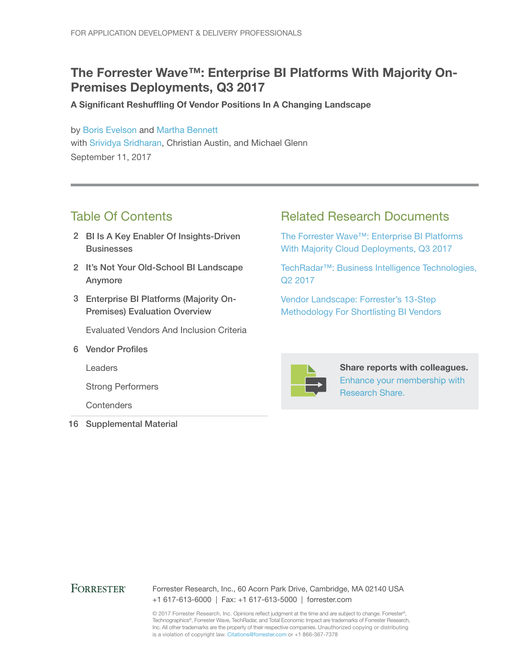## The Forrester Wave™: Enterprise BI Platforms With Majority On-Premises Deployments, Q3 2017

A Significant Reshuffling Of Vendor Positions In A Changing Landscape

by [Boris Evelson](http://www.forrester.com/go?objectid=BIO1737) and [Martha Bennett](http://www.forrester.com/go?objectid=BIO733) with [Srividya Sridharan,](http://www.forrester.com/go?objectid=BIO2679) Christian Austin, and Michael Glenn September 11, 2017

## Table Of Contents

- 2 BI Is A Key Enabler Of Insights-Driven **Businesses**
- 2 It's Not Your Old-School BI Landscape Anymore
- 3 Enterprise BI Platforms (Majority On-Premises) Evaluation Overview

Evaluated Vendors And Inclusion Criteria

6 Vendor Profiles

Leaders

Strong Performers

**Contenders** 

16 Supplemental Material

### Related Research Documents

[The Forrester Wave™: Enterprise BI](http://www.forrester.com/go?objectid=RES137263) Platforms [With Majority Cloud Deployments, Q3 2017](http://www.forrester.com/go?objectid=RES137263)

[TechRadar™: Business Intelligence Technologies,](http://www.forrester.com/go?objectid=RES137575)  [Q2 2017](http://www.forrester.com/go?objectid=RES137575)

[Vendor Landscape: Forrester's 13-Step](http://www.forrester.com/go?objectid=RES113285)  [Methodology For Shortlisting BI](http://www.forrester.com/go?objectid=RES113285) Vendors



Share reports with colleagues. [Enhance your membership with](https://go.forrester.com/research/research-share/?utm_source=forrester_com&utm_medium=banner&utm_content=featured&utm_campaign=research_share)  [Research Share.](https://go.forrester.com/research/research-share/?utm_source=forrester_com&utm_medium=banner&utm_content=featured&utm_campaign=research_share)

#### **FORRESTER®**

Forrester Research, Inc., 60 Acorn Park Drive, Cambridge, MA 02140 USA +1 617-613-6000 | Fax: +1 617-613-5000 | forrester.com

© 2017 Forrester Research, Inc. Opinions reflect judgment at the time and are subject to change. Forrester®, Technographics®, Forrester Wave, TechRadar, and Total Economic Impact are trademarks of Forrester Research, Inc. All other trademarks are the property of their respective companies. Unauthorized copying or distributing is a violation of copyright law. Citations@forrester.com or +1 866-367-7378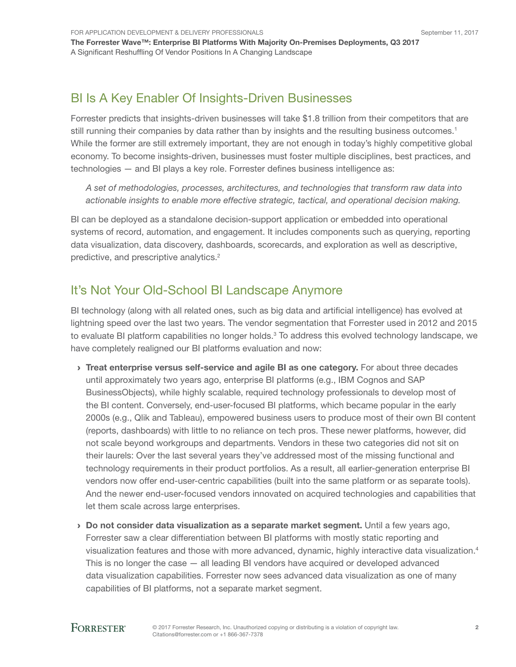## BI Is A Key Enabler Of Insights-Driven Businesses

Forrester predicts that insights-driven businesses will take \$1.8 trillion from their competitors that are still running their companies by data rather than by insights and the resulting business outcomes.<sup>1</sup> While the former are still extremely important, they are not enough in today's highly competitive global economy. To become insights-driven, businesses must foster multiple disciplines, best practices, and technologies — and BI plays a key role. Forrester defines business intelligence as:

*A set of methodologies, processes, architectures, and technologies that transform raw data into actionable insights to enable more effective strategic, tactical, and operational decision making.*

BI can be deployed as a standalone decision-support application or embedded into operational systems of record, automation, and engagement. It includes components such as querying, reporting data visualization, data discovery, dashboards, scorecards, and exploration as well as descriptive, predictive, and prescriptive analytics.<sup>2</sup>

## It's Not Your Old-School BI Landscape Anymore

BI technology (along with all related ones, such as big data and artificial intelligence) has evolved at lightning speed over the last two years. The vendor segmentation that Forrester used in 2012 and 2015 to evaluate BI platform capabilities no longer holds.<sup>3</sup> To address this evolved technology landscape, we have completely realigned our BI platforms evaluation and now:

- › Treat enterprise versus self-service and agile BI as one category. For about three decades until approximately two years ago, enterprise BI platforms (e.g., IBM Cognos and SAP BusinessObjects), while highly scalable, required technology professionals to develop most of the BI content. Conversely, end-user-focused BI platforms, which became popular in the early 2000s (e.g., Qlik and Tableau), empowered business users to produce most of their own BI content (reports, dashboards) with little to no reliance on tech pros. These newer platforms, however, did not scale beyond workgroups and departments. Vendors in these two categories did not sit on their laurels: Over the last several years they've addressed most of the missing functional and technology requirements in their product portfolios. As a result, all earlier-generation enterprise BI vendors now offer end-user-centric capabilities (built into the same platform or as separate tools). And the newer end-user-focused vendors innovated on acquired technologies and capabilities that let them scale across large enterprises.
- › Do not consider data visualization as a separate market segment. Until a few years ago, Forrester saw a clear differentiation between BI platforms with mostly static reporting and visualization features and those with more advanced, dynamic, highly interactive data visualization.<sup>4</sup> This is no longer the case — all leading BI vendors have acquired or developed advanced data visualization capabilities. Forrester now sees advanced data visualization as one of many capabilities of BI platforms, not a separate market segment.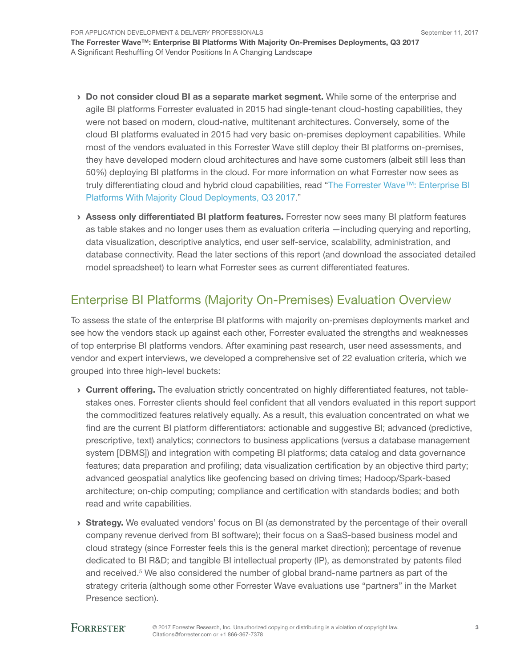For Application Development & Delivery Professionals The Forrester Wave™: Enterprise BI Platforms With Majority On-Premises Deployments, Q3 2017 A Significant Reshuffling Of Vendor Positions In A Changing Landscape

- › Do not consider cloud BI as a separate market segment. While some of the enterprise and agile BI platforms Forrester evaluated in 2015 had single-tenant cloud-hosting capabilities, they were not based on modern, cloud-native, multitenant architectures. Conversely, some of the cloud BI platforms evaluated in 2015 had very basic on-premises deployment capabilities. While most of the vendors evaluated in this Forrester Wave still deploy their BI platforms on-premises, they have developed modern cloud architectures and have some customers (albeit still less than 50%) deploying BI platforms in the cloud. For more information on what Forrester now sees as truly differentiating cloud and hybrid cloud capabilities, read "The Forrester Wave™: [Enterprise BI](http://www.forrester.com/go?objectid=RES137263)  [Platforms With Majority Cloud Deployments, Q3 2017."](http://www.forrester.com/go?objectid=RES137263)
- › Assess only differentiated BI platform features. Forrester now sees many BI platform features as table stakes and no longer uses them as evaluation criteria —including querying and reporting, data visualization, descriptive analytics, end user self-service, scalability, administration, and database connectivity. Read the later sections of this report (and download the associated detailed model spreadsheet) to learn what Forrester sees as current differentiated features.

## Enterprise BI Platforms (Majority On-Premises) Evaluation Overview

To assess the state of the enterprise BI platforms with majority on-premises deployments market and see how the vendors stack up against each other, Forrester evaluated the strengths and weaknesses of top enterprise BI platforms vendors. After examining past research, user need assessments, and vendor and expert interviews, we developed a comprehensive set of 22 evaluation criteria, which we grouped into three high-level buckets:

- › Current offering. The evaluation strictly concentrated on highly differentiated features, not tablestakes ones. Forrester clients should feel confident that all vendors evaluated in this report support the commoditized features relatively equally. As a result, this evaluation concentrated on what we find are the current BI platform differentiators: actionable and suggestive BI; advanced (predictive, prescriptive, text) analytics; connectors to business applications (versus a database management system [DBMS]) and integration with competing BI platforms; data catalog and data governance features; data preparation and profiling; data visualization certification by an objective third party; advanced geospatial analytics like geofencing based on driving times; Hadoop/Spark-based architecture; on-chip computing; compliance and certification with standards bodies; and both read and write capabilities.
- **Strategy.** We evaluated vendors' focus on BI (as demonstrated by the percentage of their overall company revenue derived from BI software); their focus on a SaaS-based business model and cloud strategy (since Forrester feels this is the general market direction); percentage of revenue dedicated to BI R&D; and tangible BI intellectual property (IP), as demonstrated by patents filed and received.<sup>5</sup> We also considered the number of global brand-name partners as part of the strategy criteria (although some other Forrester Wave evaluations use "partners" in the Market Presence section).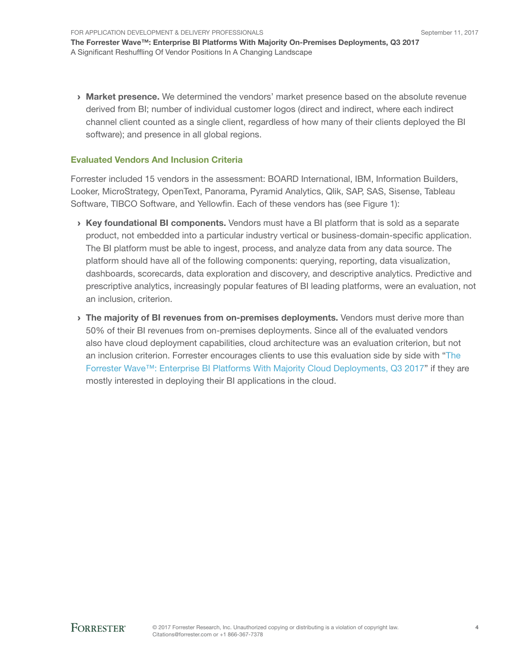**› Market presence.** We determined the vendors' market presence based on the absolute revenue derived from BI; number of individual customer logos (direct and indirect, where each indirect channel client counted as a single client, regardless of how many of their clients deployed the BI software); and presence in all global regions.

#### Evaluated Vendors And Inclusion Criteria

Forrester included 15 vendors in the assessment: BOARD International, IBM, Information Builders, Looker, MicroStrategy, OpenText, Panorama, Pyramid Analytics, Qlik, SAP, SAS, Sisense, Tableau Software, TIBCO Software, and Yellowfin. Each of these vendors has (see Figure 1):

- $\rightarrow$  Key foundational BI components. Vendors must have a BI platform that is sold as a separate product, not embedded into a particular industry vertical or business-domain-specific application. The BI platform must be able to ingest, process, and analyze data from any data source. The platform should have all of the following components: querying, reporting, data visualization, dashboards, scorecards, data exploration and discovery, and descriptive analytics. Predictive and prescriptive analytics, increasingly popular features of BI leading platforms, were an evaluation, not an inclusion, criterion.
- **I** The majority of BI revenues from on-premises deployments. Vendors must derive more than 50% of their BI revenues from on-premises deployments. Since all of the evaluated vendors also have cloud deployment capabilities, cloud architecture was an evaluation criterion, but not an inclusion criterion. Forrester encourages clients to use this evaluation side by side with ["The](http://www.forrester.com/go?objectid=RES137263)  Forrester Wave™: Enterprise BI [Platforms With Majority Cloud Deployments, Q3 2017"](http://www.forrester.com/go?objectid=RES137263) if they are mostly interested in deploying their BI applications in the cloud.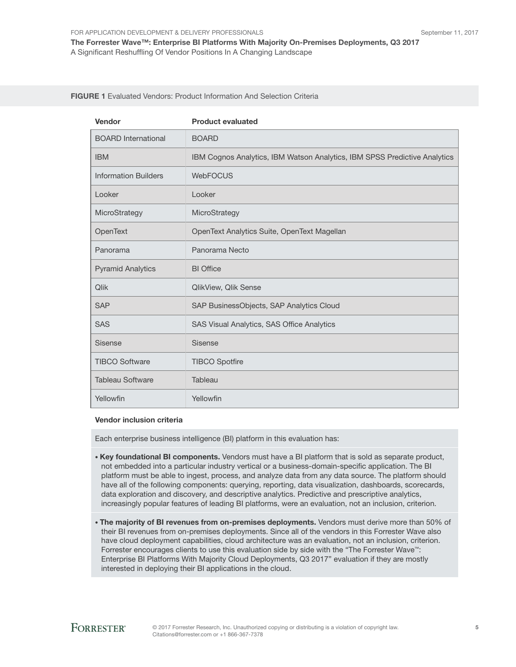#### FIGURE 1 Evaluated Vendors: Product Information And Selection Criteria

| Vendor                      | <b>Product evaluated</b>                                                  |
|-----------------------------|---------------------------------------------------------------------------|
| <b>BOARD</b> International  | <b>BOARD</b>                                                              |
| <b>IBM</b>                  | IBM Cognos Analytics, IBM Watson Analytics, IBM SPSS Predictive Analytics |
| <b>Information Builders</b> | <b>WebFOCUS</b>                                                           |
| Looker                      | Looker                                                                    |
| MicroStrategy               | MicroStrategy                                                             |
| OpenText                    | OpenText Analytics Suite, OpenText Magellan                               |
| Panorama                    | Panorama Necto                                                            |
| <b>Pyramid Analytics</b>    | <b>BI</b> Office                                                          |
| Qlik                        | QlikView, Qlik Sense                                                      |
| <b>SAP</b>                  | SAP BusinessObjects, SAP Analytics Cloud                                  |
| <b>SAS</b>                  | SAS Visual Analytics, SAS Office Analytics                                |
| <b>Sisense</b>              | <b>Sisense</b>                                                            |
| <b>TIBCO Software</b>       | <b>TIBCO Spotfire</b>                                                     |
| <b>Tableau Software</b>     | Tableau                                                                   |
| Yellowfin                   | Yellowfin                                                                 |

#### Vendor inclusion criteria

Each enterprise business intelligence (BI) platform in this evaluation has:

- Key foundational BI components. Vendors must have a BI platform that is sold as separate product, not embedded into a particular industry vertical or a business-domain-specific application. The BI platform must be able to ingest, process, and analyze data from any data source. The platform should have all of the following components: querying, reporting, data visualization, dashboards, scorecards, data exploration and discovery, and descriptive analytics. Predictive and prescriptive analytics, increasingly popular features of leading BI platforms, were an evaluation, not an inclusion, criterion.
- The majority of BI revenues from on-premises deployments. Vendors must derive more than 50% of their BI revenues from on-premises deployments. Since all of the vendors in this Forrester Wave also have cloud deployment capabilities, cloud architecture was an evaluation, not an inclusion, criterion. Forrester encourages clients to use this evaluation side by side with the "The Forrester Wave™: Enterprise BI Platforms With Majority Cloud Deployments, Q3 2017" evaluation if they are mostly interested in deploying their BI applications in the cloud.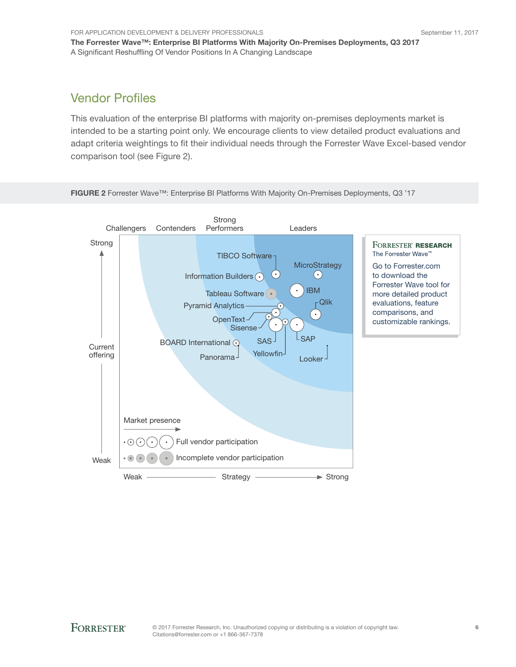## Vendor Profiles

This evaluation of the enterprise BI platforms with majority on-premises deployments market is intended to be a starting point only. We encourage clients to view detailed product evaluations and adapt criteria weightings to fit their individual needs through the Forrester Wave Excel-based vendor comparison tool (see Figure 2).



FIGURE 2 Forrester Wave™: Enterprise BI Platforms With Majority On-Premises Deployments, Q3 '17

A Significant Reshuffling Of Vendor Positions In A Changing Landscape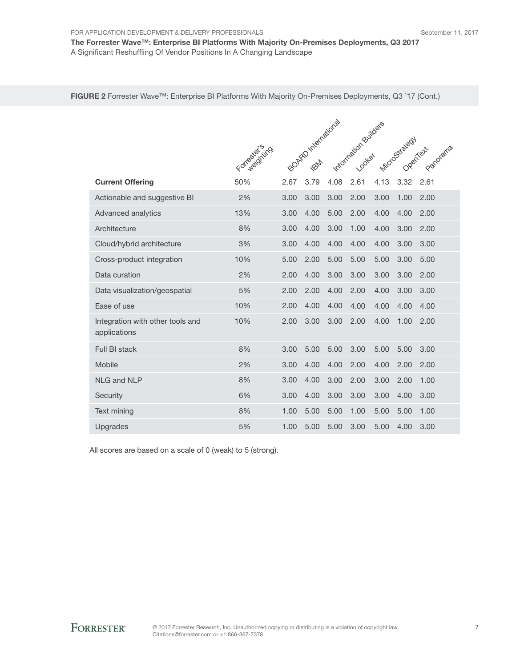The Forrester Wave™: Enterprise BI Platforms With Majority On-Premises Deployments, Q3 2017 A Significant Reshuffling Of Vendor Positions In A Changing Landscape

FIGURE 2 Forrester Wave™: Enterprise BI Platforms With Majority On-Premises Deployments, Q3 '17 (Cont.)

|                                                  | Formación (1170) |      | BOARD International |      | Information Builders |      | Microstrategy |                                  |
|--------------------------------------------------|------------------|------|---------------------|------|----------------------|------|---------------|----------------------------------|
|                                                  |                  |      |                     |      |                      |      |               | Panorama<br>Openier <sup>t</sup> |
| <b>Current Offering</b>                          | 50%              | 2.67 | 3.79                | 4.08 | 2.61                 | 4.13 | 3.32          | 2.61                             |
| Actionable and suggestive BI                     | 2%               | 3.00 | 3.00                | 3.00 | 2.00                 | 3.00 | 1.00          | 2.00                             |
| Advanced analytics                               | 13%              | 3.00 | 4.00                | 5.00 | 2.00                 | 4.00 | 4.00          | 2.00                             |
| Architecture                                     | 8%               | 3.00 | 4.00                | 3.00 | 1.00                 | 4.00 | 3.00          | 2.00                             |
| Cloud/hybrid architecture                        | 3%               | 3.00 | 4.00                | 4.00 | 4.00                 | 4.00 | 3.00          | 3.00                             |
| Cross-product integration                        | 10%              | 5.00 | 2.00                | 5.00 | 5.00                 | 5.00 | 3.00          | 5.00                             |
| Data curation                                    | 2%               | 2.00 | 4.00                | 3.00 | 3.00                 | 3.00 | 3.00          | 2.00                             |
| Data visualization/geospatial                    | 5%               | 2.00 | 2.00                | 4.00 | 2.00                 | 4.00 | 3.00          | 3.00                             |
| Ease of use                                      | 10%              | 2.00 | 4.00                | 4.00 | 4.00                 | 4.00 | 4.00          | 4.00                             |
| Integration with other tools and<br>applications | 10%              | 2.00 | 3.00                | 3.00 | 2.00                 | 4.00 | 1.00          | 2.00                             |
| Full BI stack                                    | 8%               | 3.00 | 5.00                | 5.00 | 3.00                 | 5.00 | 5.00          | 3.00                             |
| Mobile                                           | 2%               | 3.00 | 4.00                | 4.00 | 2.00                 | 4.00 | 2.00          | 2.00                             |
| <b>NLG and NLP</b>                               | 8%               | 3.00 | 4.00                | 3.00 | 2.00                 | 3.00 | 2.00          | 1.00                             |
| Security                                         | 6%               | 3.00 | 4.00                | 3.00 | 3.00                 | 3.00 | 4.00          | 3.00                             |
| Text mining                                      | 8%               | 1.00 | 5.00                | 5.00 | 1.00                 | 5.00 | 5.00          | 1.00                             |
| Upgrades                                         | 5%               | 1.00 | 5.00                | 5.00 | 3.00                 | 5.00 | 4.00          | 3.00                             |

All scores are based on a scale of 0 (weak) to 5 (strong).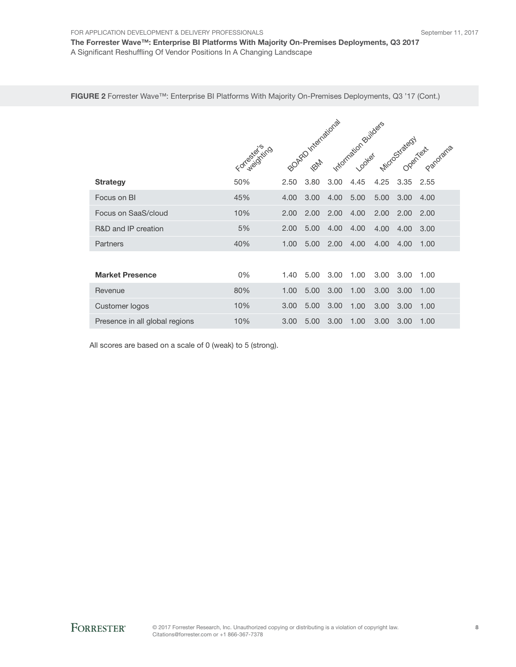FOR APPLICATION DEVELOPMENT & DELIVERY PROFESSIONALS

The Forrester Wave™: Enterprise BI Platforms With Majority On-Premises Deployments, Q3 2017 A Significant Reshuffling Of Vendor Positions In A Changing Landscape

FIGURE 2 Forrester Wave™: Enterprise BI Platforms With Majority On-Premises Deployments, Q3 '17 (Cont.)

|                                |              | TARD International<br>Information Builders |            |      |      |      |               |      |
|--------------------------------|--------------|--------------------------------------------|------------|------|------|------|---------------|------|
|                                | Formediating |                                            | <b>PAT</b> |      |      |      | Microstrategy |      |
| <b>Strategy</b>                | 50%          | 2.50                                       | 3.80       | 3.00 | 4.45 | 4.25 | 3.35          | 2.55 |
| Focus on BI                    | 45%          | 4.00                                       | 3.00       | 4.00 | 5.00 | 5.00 | 3.00          | 4.00 |
| Focus on SaaS/cloud            | 10%          | 2.00                                       | 2.00       | 2.00 | 4.00 | 2.00 | 2.00          | 2.00 |
| R&D and IP creation            | 5%           | 2.00                                       | 5.00       | 4.00 | 4.00 | 4.00 | 4.00          | 3.00 |
| Partners                       | 40%          | 1.00                                       | 5.00       | 2.00 | 4.00 | 4.00 | 4.00          | 1.00 |
|                                |              |                                            |            |      |      |      |               |      |
| <b>Market Presence</b>         | 0%           | 1.40                                       | 5.00       | 3.00 | 1.00 | 3.00 | 3.00          | 1.00 |
| Revenue                        | 80%          | 1.00                                       | 5.00       | 3.00 | 1.00 | 3.00 | 3.00          | 1.00 |
| Customer logos                 | 10%          | 3.00                                       | 5.00       | 3.00 | 1.00 | 3.00 | 3.00          | 1.00 |
| Presence in all global regions | 10%          | 3.00                                       | 5.00       | 3.00 | 1.00 | 3.00 | 3.00          | 1.00 |

All scores are based on a scale of 0 (weak) to 5 (strong).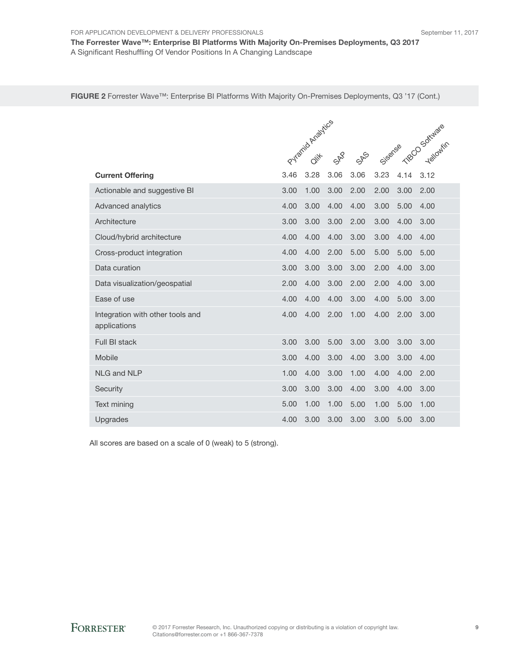FOR APPLICATION DEVELOPMENT & DELIVERY PROFESSIONALS The Forrester Wave™: Enterprise BI Platforms With Majority On-Premises Deployments, Q3 2017

A Significant Reshuffling Of Vendor Positions In A Changing Landscape

FIGURE 2 Forrester Wave™: Enterprise BI Platforms With Majority On-Premises Deployments, Q3 '17 (Cont.)

|                                                  | Pyramid Analytics |      |      |                               |         |      | TBCO Software |  |  |
|--------------------------------------------------|-------------------|------|------|-------------------------------|---------|------|---------------|--|--|
|                                                  |                   |      | 588  | $S_{\textrm{R}}^{\textrm{S}}$ | Sisense |      | Yellowfin     |  |  |
| <b>Current Offering</b>                          | 3.46              | 3.28 | 3.06 | 3.06                          | 3.23    | 4.14 | 3.12          |  |  |
| Actionable and suggestive BI                     | 3.00              | 1.00 | 3.00 | 2.00                          | 2.00    | 3.00 | 2.00          |  |  |
| Advanced analytics                               | 4.00              | 3.00 | 4.00 | 4.00                          | 3.00    | 5.00 | 4.00          |  |  |
| Architecture                                     | 3.00              | 3.00 | 3.00 | 2.00                          | 3.00    | 4.00 | 3.00          |  |  |
| Cloud/hybrid architecture                        | 4.00              | 4.00 | 4.00 | 3.00                          | 3.00    | 4.00 | 4.00          |  |  |
| Cross-product integration                        | 4.00              | 4.00 | 2.00 | 5.00                          | 5.00    | 5.00 | 5.00          |  |  |
| Data curation                                    | 3.00              | 3.00 | 3.00 | 3.00                          | 2.00    | 4.00 | 3.00          |  |  |
| Data visualization/geospatial                    | 2.00              | 4.00 | 3.00 | 2.00                          | 2.00    | 4.00 | 3.00          |  |  |
| Ease of use                                      | 4.00              | 4.00 | 4.00 | 3.00                          | 4.00    | 5.00 | 3.00          |  |  |
| Integration with other tools and<br>applications | 4.00              | 4.00 | 2.00 | 1.00                          | 4.00    | 2.00 | 3.00          |  |  |
| Full BI stack                                    | 3.00              | 3.00 | 5.00 | 3.00                          | 3.00    | 3.00 | 3.00          |  |  |
| Mobile                                           | 3.00              | 4.00 | 3.00 | 4.00                          | 3.00    | 3.00 | 4.00          |  |  |
| NI G and NI P                                    | 1.00              | 4.00 | 3.00 | 1.00                          | 4.00    | 4.00 | 2.00          |  |  |
| Security                                         | 3.00              | 3.00 | 3.00 | 4.00                          | 3.00    | 4.00 | 3.00          |  |  |
| Text mining                                      | 5.00              | 1.00 | 1.00 | 5.00                          | 1.00    | 5.00 | 1.00          |  |  |
| Upgrades                                         | 4.00              | 3.00 | 3.00 | 3.00                          | 3.00    | 5.00 | 3.00          |  |  |

All scores are based on a scale of 0 (weak) to 5 (strong).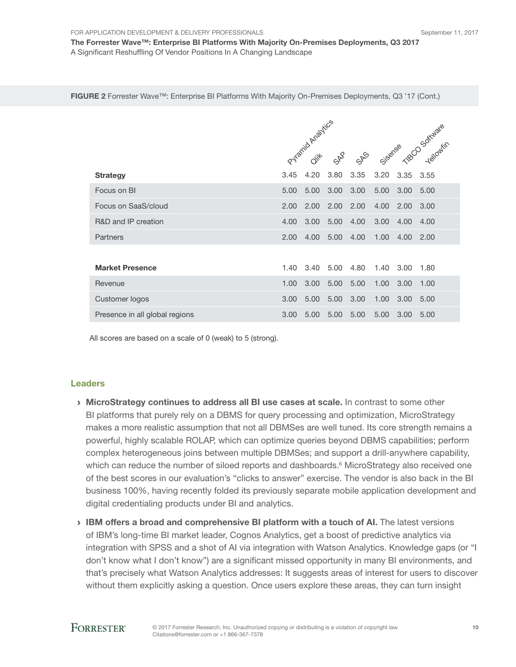FOR APPLICATION DEVELOPMENT & DELIVERY PROFESSIONALS The Forrester Wave™: Enterprise BI Platforms With Majority On-Premises Deployments, Q3 2017

A Significant Reshuffling Of Vendor Positions In A Changing Landscape

FIGURE 2 Forrester Wave™: Enterprise BI Platforms With Majority On-Premises Deployments, Q3 '17 (Cont.)

|                                |      | Pyramid Analytics | 558  | $S_{R}^{\infty}$ |      |      | Sisence Telography |
|--------------------------------|------|-------------------|------|------------------|------|------|--------------------|
| <b>Strategy</b>                | 3.45 | 4.20              | 3.80 | 3.35             | 3.20 | 3.35 |                    |
| Focus on BI                    | 5.00 | 5.00              | 3.00 | 3.00             | 5.00 | 3.00 | 5.00               |
| Focus on SaaS/cloud            | 2.00 | 2.00              | 2.00 | 2.00             | 4.00 | 2.00 | 3.00               |
| R&D and IP creation            | 4.00 | 3.00              | 5.00 | 4.00             | 3.00 | 4.00 | 4.00               |
| Partners                       | 2.00 | 4.00              | 5.00 | 4.00             | 1.00 | 4.00 | 2.00               |
|                                |      |                   |      |                  |      |      |                    |
| <b>Market Presence</b>         | 1.40 | 3.40              | 5.00 | 4.80             | 1.40 | 3.00 | 1.80               |
| Revenue                        | 1.00 | 3.00              | 5.00 | 5.00             | 1.00 | 3.00 | 1.00               |
| Customer logos                 | 3.00 | 5.00              | 5.00 | 3.00             | 1.00 | 3.00 | 5.00               |
| Presence in all global regions | 3.00 | 5.00              | 5.00 | 5.00             | 5.00 | 3.00 | 5.00               |

All scores are based on a scale of 0 (weak) to 5 (strong).

#### Leaders

- › MicroStrategy continues to address all BI use cases at scale. In contrast to some other BI platforms that purely rely on a DBMS for query processing and optimization, MicroStrategy makes a more realistic assumption that not all DBMSes are well tuned. Its core strength remains a powerful, highly scalable ROLAP, which can optimize queries beyond DBMS capabilities; perform complex heterogeneous joins between multiple DBMSes; and support a drill-anywhere capability, which can reduce the number of siloed reports and dashboards.<sup>6</sup> MicroStrategy also received one of the best scores in our evaluation's "clicks to answer" exercise. The vendor is also back in the BI business 100%, having recently folded its previously separate mobile application development and digital credentialing products under BI and analytics.
- › IBM offers a broad and comprehensive BI platform with a touch of AI. The latest versions of IBM's long-time BI market leader, Cognos Analytics, get a boost of predictive analytics via integration with SPSS and a shot of AI via integration with Watson Analytics. Knowledge gaps (or "I don't know what I don't know") are a significant missed opportunity in many BI environments, and that's precisely what Watson Analytics addresses: It suggests areas of interest for users to discover without them explicitly asking a question. Once users explore these areas, they can turn insight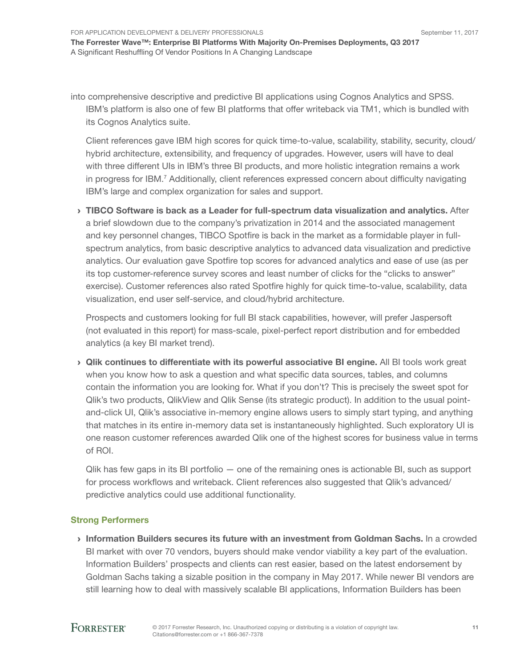into comprehensive descriptive and predictive BI applications using Cognos Analytics and SPSS. IBM's platform is also one of few BI platforms that offer writeback via TM1, which is bundled with its Cognos Analytics suite.

Client references gave IBM high scores for quick time-to-value, scalability, stability, security, cloud/ hybrid architecture, extensibility, and frequency of upgrades. However, users will have to deal with three different UIs in IBM's three BI products, and more holistic integration remains a work in progress for IBM.<sup>7</sup> Additionally, client references expressed concern about difficulty navigating IBM's large and complex organization for sales and support.

› TIBCO Software is back as a Leader for full-spectrum data visualization and analytics. After a brief slowdown due to the company's privatization in 2014 and the associated management and key personnel changes, TIBCO Spotfire is back in the market as a formidable player in fullspectrum analytics, from basic descriptive analytics to advanced data visualization and predictive analytics. Our evaluation gave Spotfire top scores for advanced analytics and ease of use (as per its top customer-reference survey scores and least number of clicks for the "clicks to answer" exercise). Customer references also rated Spotfire highly for quick time-to-value, scalability, data visualization, end user self-service, and cloud/hybrid architecture.

Prospects and customers looking for full BI stack capabilities, however, will prefer Jaspersoft (not evaluated in this report) for mass-scale, pixel-perfect report distribution and for embedded analytics (a key BI market trend).

› Qlik continues to differentiate with its powerful associative BI engine. All BI tools work great when you know how to ask a question and what specific data sources, tables, and columns contain the information you are looking for. What if you don't? This is precisely the sweet spot for Qlik's two products, QlikView and Qlik Sense (its strategic product). In addition to the usual pointand-click UI, Qlik's associative in-memory engine allows users to simply start typing, and anything that matches in its entire in-memory data set is instantaneously highlighted. Such exploratory UI is one reason customer references awarded Qlik one of the highest scores for business value in terms of ROI.

Qlik has few gaps in its BI portfolio — one of the remaining ones is actionable BI, such as support for process workflows and writeback. Client references also suggested that Qlik's advanced/ predictive analytics could use additional functionality.

#### Strong Performers

› Information Builders secures its future with an investment from Goldman Sachs. In a crowded BI market with over 70 vendors, buyers should make vendor viability a key part of the evaluation. Information Builders' prospects and clients can rest easier, based on the latest endorsement by Goldman Sachs taking a sizable position in the company in May 2017. While newer BI vendors are still learning how to deal with massively scalable BI applications, Information Builders has been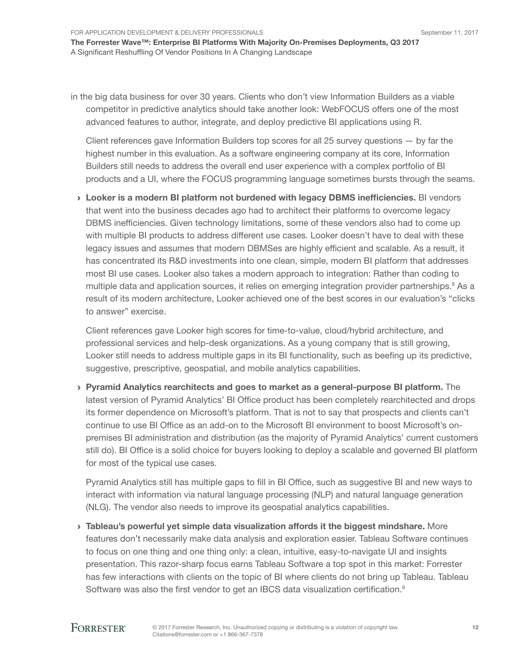in the big data business for over 30 years. Clients who don't view Information Builders as a viable competitor in predictive analytics should take another look: WebFOCUS offers one of the most advanced features to author, integrate, and deploy predictive BI applications using R.

Client references gave Information Builders top scores for all 25 survey questions  $-$  by far the highest number in this evaluation. As a software engineering company at its core, Information Builders still needs to address the overall end user experience with a complex portfolio of BI products and a UI, where the FOCUS programming language sometimes bursts through the seams.

› Looker is a modern BI platform not burdened with legacy DBMS inefficiencies. BI vendors that went into the business decades ago had to architect their platforms to overcome legacy DBMS inefficiencies. Given technology limitations, some of these vendors also had to come up with multiple BI products to address different use cases. Looker doesn't have to deal with these legacy issues and assumes that modern DBMSes are highly efficient and scalable. As a result, it has concentrated its R&D investments into one clean, simple, modern BI platform that addresses most BI use cases. Looker also takes a modern approach to integration: Rather than coding to multiple data and application sources, it relies on emerging integration provider partnerships.<sup>8</sup> As a result of its modern architecture, Looker achieved one of the best scores in our evaluation's "clicks to answer" exercise.

Client references gave Looker high scores for time-to-value, cloud/hybrid architecture, and professional services and help-desk organizations. As a young company that is still growing, Looker still needs to address multiple gaps in its BI functionality, such as beefing up its predictive, suggestive, prescriptive, geospatial, and mobile analytics capabilities.

› Pyramid Analytics rearchitects and goes to market as a general-purpose BI platform. The latest version of Pyramid Analytics' BI Office product has been completely rearchitected and drops its former dependence on Microsoft's platform. That is not to say that prospects and clients can't continue to use BI Office as an add-on to the Microsoft BI environment to boost Microsoft's onpremises BI administration and distribution (as the majority of Pyramid Analytics' current customers still do). BI Office is a solid choice for buyers looking to deploy a scalable and governed BI platform for most of the typical use cases.

Pyramid Analytics still has multiple gaps to fill in BI Office, such as suggestive BI and new ways to interact with information via natural language processing (NLP) and natural language generation (NLG). The vendor also needs to improve its geospatial analytics capabilities.

› Tableau's powerful yet simple data visualization affords it the biggest mindshare. More features don't necessarily make data analysis and exploration easier. Tableau Software continues to focus on one thing and one thing only: a clean, intuitive, easy-to-navigate UI and insights presentation. This razor-sharp focus earns Tableau Software a top spot in this market: Forrester has few interactions with clients on the topic of BI where clients do not bring up Tableau. Tableau Software was also the first vendor to get an IBCS data visualization certification.<sup>9</sup>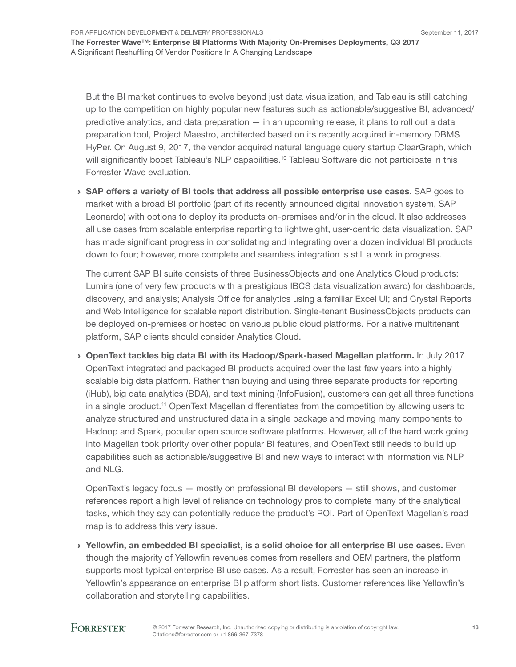For Application Development & Delivery Professionals

The Forrester Wave™: Enterprise BI Platforms With Majority On-Premises Deployments, Q3 2017 A Significant Reshuffling Of Vendor Positions In A Changing Landscape

But the BI market continues to evolve beyond just data visualization, and Tableau is still catching up to the competition on highly popular new features such as actionable/suggestive BI, advanced/ predictive analytics, and data preparation — in an upcoming release, it plans to roll out a data preparation tool, Project Maestro, architected based on its recently acquired in-memory DBMS HyPer. On August 9, 2017, the vendor acquired natural language query startup ClearGraph, which will significantly boost Tableau's NLP capabilities.<sup>10</sup> Tableau Software did not participate in this Forrester Wave evaluation.

 $\rightarrow$  SAP offers a variety of BI tools that address all possible enterprise use cases. SAP goes to market with a broad BI portfolio (part of its recently announced digital innovation system, SAP Leonardo) with options to deploy its products on-premises and/or in the cloud. It also addresses all use cases from scalable enterprise reporting to lightweight, user-centric data visualization. SAP has made significant progress in consolidating and integrating over a dozen individual BI products down to four; however, more complete and seamless integration is still a work in progress.

The current SAP BI suite consists of three BusinessObjects and one Analytics Cloud products: Lumira (one of very few products with a prestigious IBCS data visualization award) for dashboards, discovery, and analysis; Analysis Office for analytics using a familiar Excel UI; and Crystal Reports and Web Intelligence for scalable report distribution. Single-tenant BusinessObjects products can be deployed on-premises or hosted on various public cloud platforms. For a native multitenant platform, SAP clients should consider Analytics Cloud.

› OpenText tackles big data BI with its Hadoop/Spark-based Magellan platform. In July 2017 OpenText integrated and packaged BI products acquired over the last few years into a highly scalable big data platform. Rather than buying and using three separate products for reporting (iHub), big data analytics (BDA), and text mining (InfoFusion), customers can get all three functions in a single product.<sup>11</sup> OpenText Magellan differentiates from the competition by allowing users to analyze structured and unstructured data in a single package and moving many components to Hadoop and Spark, popular open source software platforms. However, all of the hard work going into Magellan took priority over other popular BI features, and OpenText still needs to build up capabilities such as actionable/suggestive BI and new ways to interact with information via NLP and NLG.

OpenText's legacy focus — mostly on professional BI developers — still shows, and customer references report a high level of reliance on technology pros to complete many of the analytical tasks, which they say can potentially reduce the product's ROI. Part of OpenText Magellan's road map is to address this very issue.

› Yellowfin, an embedded BI specialist, is a solid choice for all enterprise BI use cases. Even though the majority of Yellowfin revenues comes from resellers and OEM partners, the platform supports most typical enterprise BI use cases. As a result, Forrester has seen an increase in Yellowfin's appearance on enterprise BI platform short lists. Customer references like Yellowfin's collaboration and storytelling capabilities.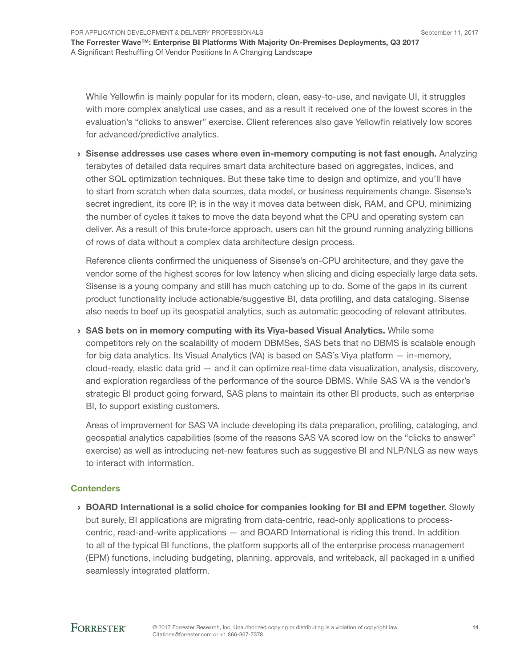While Yellowfin is mainly popular for its modern, clean, easy-to-use, and navigate UI, it struggles with more complex analytical use cases, and as a result it received one of the lowest scores in the evaluation's "clicks to answer" exercise. Client references also gave Yellowfin relatively low scores for advanced/predictive analytics.

› Sisense addresses use cases where even in-memory computing is not fast enough. Analyzing terabytes of detailed data requires smart data architecture based on aggregates, indices, and other SQL optimization techniques. But these take time to design and optimize, and you'll have to start from scratch when data sources, data model, or business requirements change. Sisense's secret ingredient, its core IP, is in the way it moves data between disk, RAM, and CPU, minimizing the number of cycles it takes to move the data beyond what the CPU and operating system can deliver. As a result of this brute-force approach, users can hit the ground running analyzing billions of rows of data without a complex data architecture design process.

Reference clients confirmed the uniqueness of Sisense's on-CPU architecture, and they gave the vendor some of the highest scores for low latency when slicing and dicing especially large data sets. Sisense is a young company and still has much catching up to do. Some of the gaps in its current product functionality include actionable/suggestive BI, data profiling, and data cataloging. Sisense also needs to beef up its geospatial analytics, such as automatic geocoding of relevant attributes.

› SAS bets on in memory computing with its Viya-based Visual Analytics. While some competitors rely on the scalability of modern DBMSes, SAS bets that no DBMS is scalable enough for big data analytics. Its Visual Analytics (VA) is based on SAS's Viya platform — in-memory, cloud-ready, elastic data grid — and it can optimize real-time data visualization, analysis, discovery, and exploration regardless of the performance of the source DBMS. While SAS VA is the vendor's strategic BI product going forward, SAS plans to maintain its other BI products, such as enterprise BI, to support existing customers.

Areas of improvement for SAS VA include developing its data preparation, profiling, cataloging, and geospatial analytics capabilities (some of the reasons SAS VA scored low on the "clicks to answer" exercise) as well as introducing net-new features such as suggestive BI and NLP/NLG as new ways to interact with information.

#### **Contenders**

› BOARD International is a solid choice for companies looking for BI and EPM together. Slowly but surely, BI applications are migrating from data-centric, read-only applications to processcentric, read-and-write applications — and BOARD International is riding this trend. In addition to all of the typical BI functions, the platform supports all of the enterprise process management (EPM) functions, including budgeting, planning, approvals, and writeback, all packaged in a unified seamlessly integrated platform.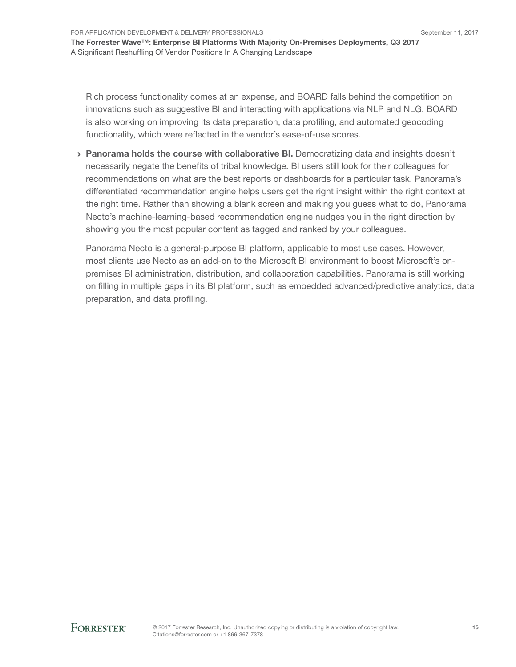Rich process functionality comes at an expense, and BOARD falls behind the competition on innovations such as suggestive BI and interacting with applications via NLP and NLG. BOARD is also working on improving its data preparation, data profiling, and automated geocoding functionality, which were reflected in the vendor's ease-of-use scores.

› Panorama holds the course with collaborative BI. Democratizing data and insights doesn't necessarily negate the benefits of tribal knowledge. BI users still look for their colleagues for recommendations on what are the best reports or dashboards for a particular task. Panorama's differentiated recommendation engine helps users get the right insight within the right context at the right time. Rather than showing a blank screen and making you guess what to do, Panorama Necto's machine-learning-based recommendation engine nudges you in the right direction by showing you the most popular content as tagged and ranked by your colleagues.

Panorama Necto is a general-purpose BI platform, applicable to most use cases. However, most clients use Necto as an add-on to the Microsoft BI environment to boost Microsoft's onpremises BI administration, distribution, and collaboration capabilities. Panorama is still working on filling in multiple gaps in its BI platform, such as embedded advanced/predictive analytics, data preparation, and data profiling.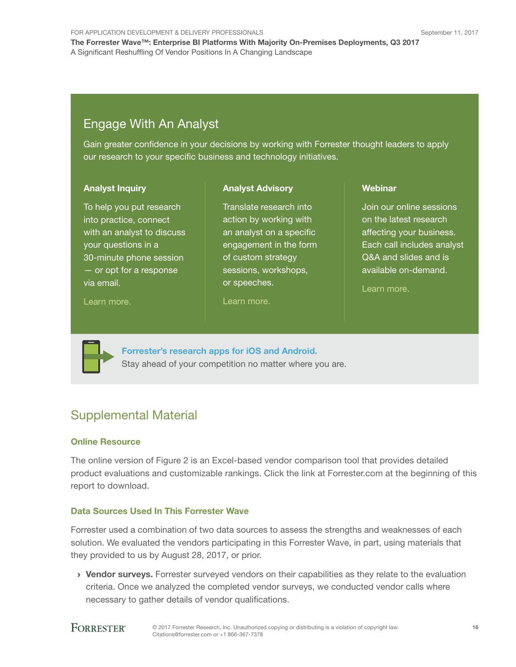For Application Development & Delivery Professionals The Forrester Wave™: Enterprise BI Platforms With Majority On-Premises Deployments, Q3 2017 A Significant Reshuffling Of Vendor Positions In A Changing Landscape

## Engage With An Analyst

Gain greater confidence in your decisions by working with Forrester thought leaders to apply our research to your specific business and technology initiatives.

> Translate research into action by working with an analyst on a specific engagement in the form of custom strategy sessions, workshops,

Analyst Advisory

#### Analyst Inquiry

To help you put research into practice, connect with an analyst to discuss your questions in a 30-minute phone session — or opt for a response via email.

[Learn more.](http://forr.com/1einFan)

[Learn more.](http://www.forrester.com/Analyst-Advisory/-/E-MPL172)

or speeches.

**Webinar** 

Join our online sessions on the latest research affecting your business. Each call includes analyst Q&A and slides and is available on-demand.

[Learn more](https://www.forrester.com/events?N=10006+5025).



[Forrester's research apps for iOS and Android.](http://www.forrester.com/app) Stay ahead of your competition no matter where you are.

## Supplemental Material

#### Online Resource

The online version of Figure 2 is an Excel-based vendor comparison tool that provides detailed product evaluations and customizable rankings. Click the link at Forrester.com at the beginning of this report to download.

#### Data Sources Used In This Forrester Wave

Forrester used a combination of two data sources to assess the strengths and weaknesses of each solution. We evaluated the vendors participating in this Forrester Wave, in part, using materials that they provided to us by August 28, 2017, or prior.

> Vendor surveys. Forrester surveyed vendors on their capabilities as they relate to the evaluation criteria. Once we analyzed the completed vendor surveys, we conducted vendor calls where necessary to gather details of vendor qualifications.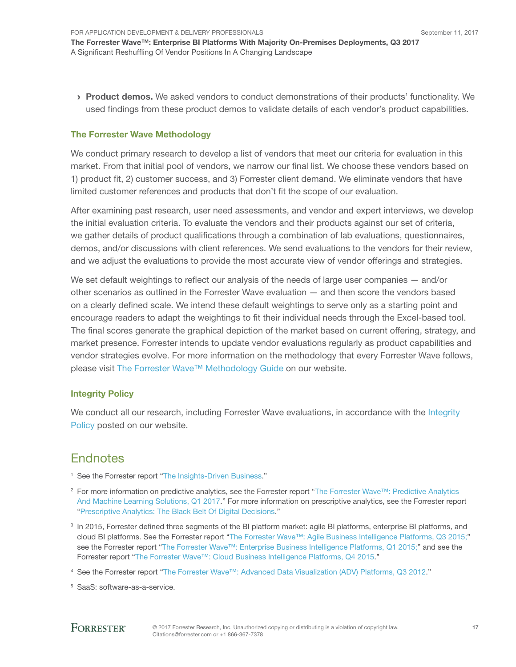**Product demos.** We asked vendors to conduct demonstrations of their products' functionality. We used findings from these product demos to validate details of each vendor's product capabilities.

#### The Forrester Wave Methodology

We conduct primary research to develop a list of vendors that meet our criteria for evaluation in this market. From that initial pool of vendors, we narrow our final list. We choose these vendors based on 1) product fit, 2) customer success, and 3) Forrester client demand. We eliminate vendors that have limited customer references and products that don't fit the scope of our evaluation.

After examining past research, user need assessments, and vendor and expert interviews, we develop the initial evaluation criteria. To evaluate the vendors and their products against our set of criteria, we gather details of product qualifications through a combination of lab evaluations, questionnaires, demos, and/or discussions with client references. We send evaluations to the vendors for their review, and we adjust the evaluations to provide the most accurate view of vendor offerings and strategies.

We set default weightings to reflect our analysis of the needs of large user companies  $-$  and/or other scenarios as outlined in the Forrester Wave evaluation — and then score the vendors based on a clearly defined scale. We intend these default weightings to serve only as a starting point and encourage readers to adapt the weightings to fit their individual needs through the Excel-based tool. The final scores generate the graphical depiction of the market based on current offering, strategy, and market presence. Forrester intends to update vendor evaluations regularly as product capabilities and vendor strategies evolve. For more information on the methodology that every Forrester Wave follows, please visit [The Forrester Wave™ Methodology Guide](https://www.forrester.com/marketing/policies/forrester-wave-methodology.html) on our website.

#### Integrity Policy

We conduct all our research, including Forrester Wave evaluations, in accordance with the Integrity [Policy](http://www.forrester.com/marketing/policies/integrity-policy.html) posted on our website.

## **Endnotes**

- <sup>1</sup> See the Forrester report "[The Insights-Driven Business.](http://www.forrester.com/go?objectid=RES135823)"
- <sup>2</sup> For more information on predictive analytics, see the Forrester report "[The Forrester Wave™: Predictive Analytics](http://www.forrester.com/go?objectid=RES129452)  [And Machine Learning Solutions, Q1 2017](http://www.forrester.com/go?objectid=RES129452)." For more information on prescriptive analytics, see the Forrester report ["Prescriptive Analytics: The Black Belt Of Digital Decisions](http://www.forrester.com/go?objectid=RES122982)."
- <sup>3</sup> In 2015, Forrester defined three segments of the BI platform market: agile BI platforms, enterprise BI platforms, and cloud BI platforms. See the Forrester report "[The Forrester Wave™: Agile Business Intelligence Platforms, Q3 2015;"](http://www.forrester.com/go?objectid=RES116447) see the Forrester report ["The Forrester Wave™: Enterprise Business Intelligence Platforms, Q1 2015;](http://www.forrester.com/go?objectid=RES122044)" and see the Forrester report "[The Forrester Wave™: Cloud Business Intelligence Platforms, Q4 2015](http://www.forrester.com/go?objectid=RES113305)."
- <sup>4</sup> See the Forrester report "[The Forrester Wave™: Advanced Data Visualization \(ADV\) Platforms, Q3 2012](http://www.forrester.com/go?objectid=RES71903)."
- <sup>5</sup> SaaS: software-as-a-service.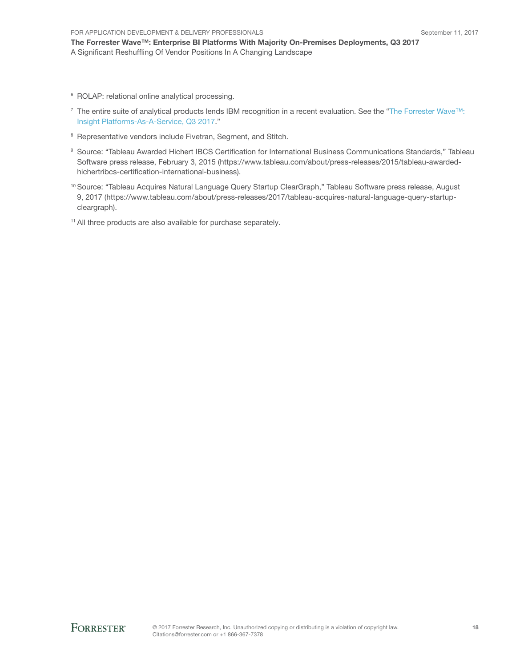The Forrester Wave™: Enterprise BI Platforms With Majority On-Premises Deployments, Q3 2017 A Significant Reshuffling Of Vendor Positions In A Changing Landscape

- 6 ROLAP: relational online analytical processing.
- 7 The entire suite of analytical products lends IBM recognition in a recent evaluation. See the ["The Forrester Wave™:](https://www.forrester.com/go?objectid=res136245)  [Insight Platforms-As-A-Service, Q3 2017](https://www.forrester.com/go?objectid=res136245)."
- <sup>8</sup> Representative vendors include Fivetran, Segment, and Stitch.
- <sup>9</sup> Source: "Tableau Awarded Hichert IBCS Certification for International Business Communications Standards," Tableau Software press release, February 3, 2015 (https://www.tableau.com/about/press-releases/2015/tableau-awardedhichertribcs-certification-international-business).
- <sup>10</sup> Source: "Tableau Acquires Natural Language Query Startup ClearGraph," Tableau Software press release, August 9, 2017 (https://www.tableau.com/about/press-releases/2017/tableau-acquires-natural-language-query-startupcleargraph).

<sup>11</sup> All three products are also available for purchase separately.